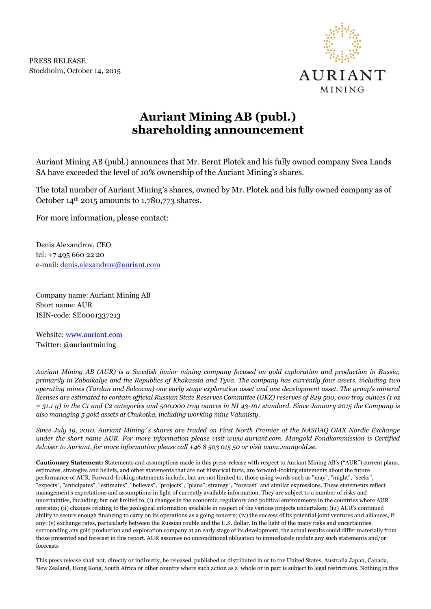PRESS RELEASE Stockholm, October 14, 2015



## **Auriant Mining AB (publ.) shareholding announcement**

Auriant Mining AB (publ.) announces that Mr. Bernt Plotek and his fully owned company Svea Lands SA have exceeded the level of 10% ownership of the Auriant Mining's shares.

The total number of Auriant Mining's shares, owned by Mr. Plotek and his fully owned company as of October  $14<sup>th</sup>$  2015 amounts to 1,780,773 shares.

For more information, please contact:

Denis Alexandrov, CEO tel: +7 495 660 22 20 e-mail: [denis.alexandrov@auriant.com](mailto:denis.alexandrov@auriant.com)

Company name: Auriant Mining AB Short name: AUR ISIN-code: SE0001337213

Website: [www.auriant.com](http://www.auriant.com/) Twitter: @auriantmining

*Auriant Mining AB (AUR) is a Swedish junior mining company focused on gold exploration and production in Russia, primarily in Zabaikalye and the Republics of Khakassia and Tyva. The company has currently four assets, including two operating mines (Tardan and Solcocon) one early stage exploration asset and one development asset. The group's mineral licenses are estimated to contain official Russian State Reserves Committee (GKZ) reserves of 829 500, 000 troy ounces (1 oz = 31.1 g) in the C1 and C2 categories and 500,000 troy ounces in NI 43-101 standard. Since January 2015 the Company is also managing 5 gold assets at Chukotka, including working mine Valunisty.* 

*Since July 19, 2010, Auriant Mining´s shares are traded on First North Premier at the NASDAQ OMX Nordic Exchange under the short name AUR. For more information please visit www.auriant.com. Mangold Fondkommission is Certified Adviser to Auriant, for more information please call +46 8 503 015 50 or visit www.mangold.se.*

**Cautionary Statement:** Statements and assumptions made in this press-release with respect to Auriant Mining AB's ("AUR") current plans, estimates, strategies and beliefs, and other statements that are not historical facts, are forward-looking statements about the future performance of AUR. Forward-looking statements include, but are not limited to, those using words such as "may", "might", "seeks", "expects", "anticipates", "estimates", "believes", "projects", "plans", strategy", "forecast" and similar expressions. These statements reflect management's expectations and assumptions in light of currently available information. They are subject to a number of risks and uncertainties, including, but not limited to, (i) changes in the economic, regulatory and political environments in the countries where AUR operates; (ii) changes relating to the geological information available in respect of the various projects undertaken; (iii) AUR's continued ability to secure enough financing to carry on its operations as a going concern; (iv) the success of its potential joint ventures and alliances, if any; (v) exchange rates, particularly between the Russian rouble and the U.S. dollar. In the light of the many risks and uncertainties surrounding any gold production and exploration company at an early stage of its development, the actual results could differ materially from those presented and forecast in this report. AUR assumes no unconditional obligation to immediately update any such statements and/or forecasts

This press release shall not, directly or indirectly, be released, published or distributed in or to the United States, Australia Japan, Canada, New Zealand, Hong Kong, South Africa or other country where such action as a whole or in part is subject to legal restrictions. Nothing in this